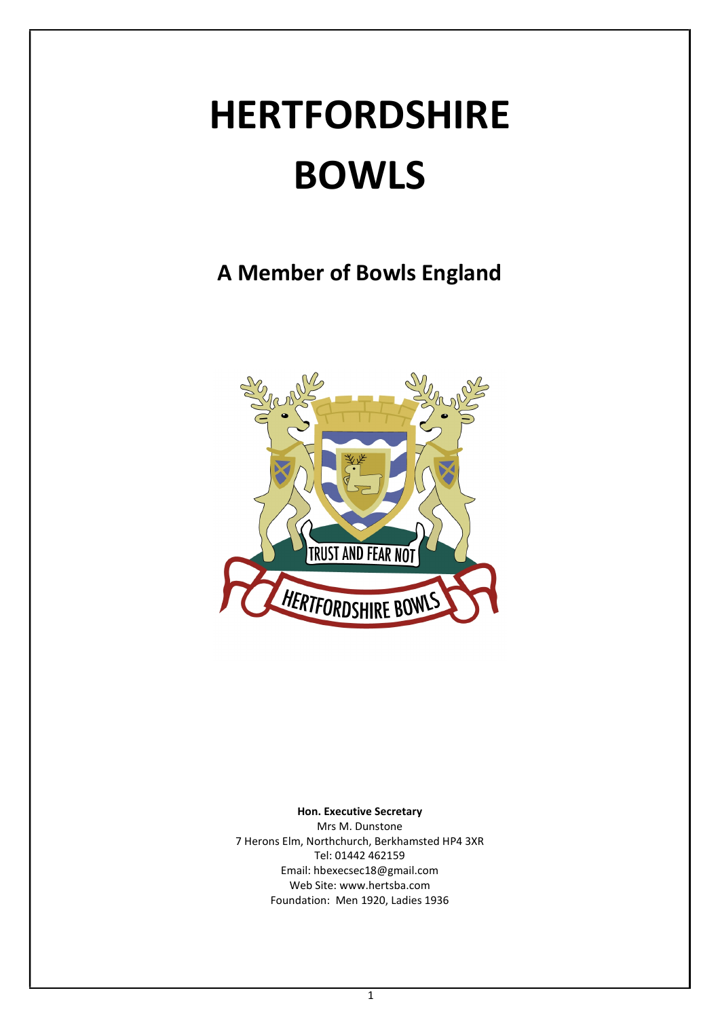# HERTFORDSHIRE BOWLS

A Member of Bowls England



Hon. Executive Secretary

Mrs M. Dunstone 7 Herons Elm, Northchurch, Berkhamsted HP4 3XR Tel: 01442 462159 Email: hbexecsec18@gmail.com Web Site: www.hertsba.com Foundation: Men 1920, Ladies 1936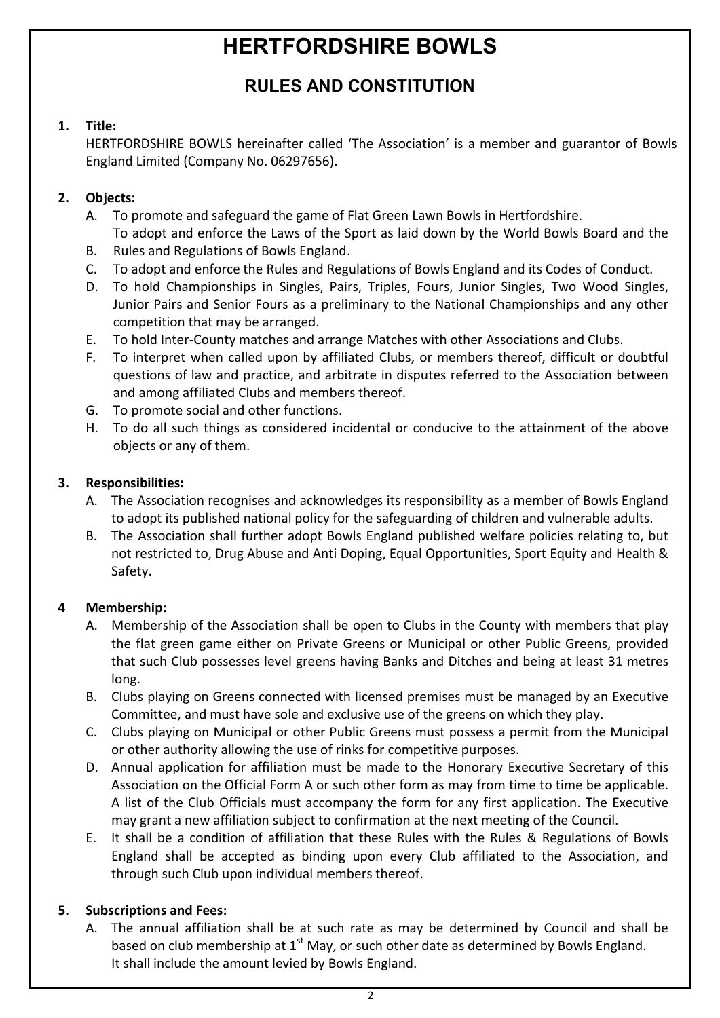## HERTFORDSHIRE BOWLS

### RULES AND CONSTITUTION

#### 1. Title:

HERTFORDSHIRE BOWLS hereinafter called 'The Association' is a member and guarantor of Bowls England Limited (Company No. 06297656).

#### 2. Objects:

- A. To promote and safeguard the game of Flat Green Lawn Bowls in Hertfordshire. To adopt and enforce the Laws of the Sport as laid down by the World Bowls Board and the
	- B. Rules and Regulations of Bowls England.
	- C. To adopt and enforce the Rules and Regulations of Bowls England and its Codes of Conduct.
	- D. To hold Championships in Singles, Pairs, Triples, Fours, Junior Singles, Two Wood Singles, Junior Pairs and Senior Fours as a preliminary to the National Championships and any other competition that may be arranged.
	- E. To hold Inter-County matches and arrange Matches with other Associations and Clubs.
	- F. To interpret when called upon by affiliated Clubs, or members thereof, difficult or doubtful questions of law and practice, and arbitrate in disputes referred to the Association between and among affiliated Clubs and members thereof.
	- G. To promote social and other functions.
	- H. To do all such things as considered incidental or conducive to the attainment of the above objects or any of them.

#### 3. Responsibilities:

- A. The Association recognises and acknowledges its responsibility as a member of Bowls England to adopt its published national policy for the safeguarding of children and vulnerable adults.
	- B. The Association shall further adopt Bowls England published welfare policies relating to, but not restricted to, Drug Abuse and Anti Doping, Equal Opportunities, Sport Equity and Health & Safety.

#### 4 Membership:

- A. Membership of the Association shall be open to Clubs in the County with members that play the flat green game either on Private Greens or Municipal or other Public Greens, provided that such Club possesses level greens having Banks and Ditches and being at least 31 metres long.
	- B. Clubs playing on Greens connected with licensed premises must be managed by an Executive Committee, and must have sole and exclusive use of the greens on which they play.
	- C. Clubs playing on Municipal or other Public Greens must possess a permit from the Municipal or other authority allowing the use of rinks for competitive purposes.
	- D. Annual application for affiliation must be made to the Honorary Executive Secretary of this Association on the Official Form A or such other form as may from time to time be applicable. A list of the Club Officials must accompany the form for any first application. The Executive may grant a new affiliation subject to confirmation at the next meeting of the Council.
	- E. It shall be a condition of affiliation that these Rules with the Rules & Regulations of Bowls England shall be accepted as binding upon every Club affiliated to the Association, and through such Club upon individual members thereof.

#### 5. Subscriptions and Fees:

 A. The annual affiliation shall be at such rate as may be determined by Council and shall be based on club membership at  $1<sup>st</sup>$  May, or such other date as determined by Bowls England. It shall include the amount levied by Bowls England.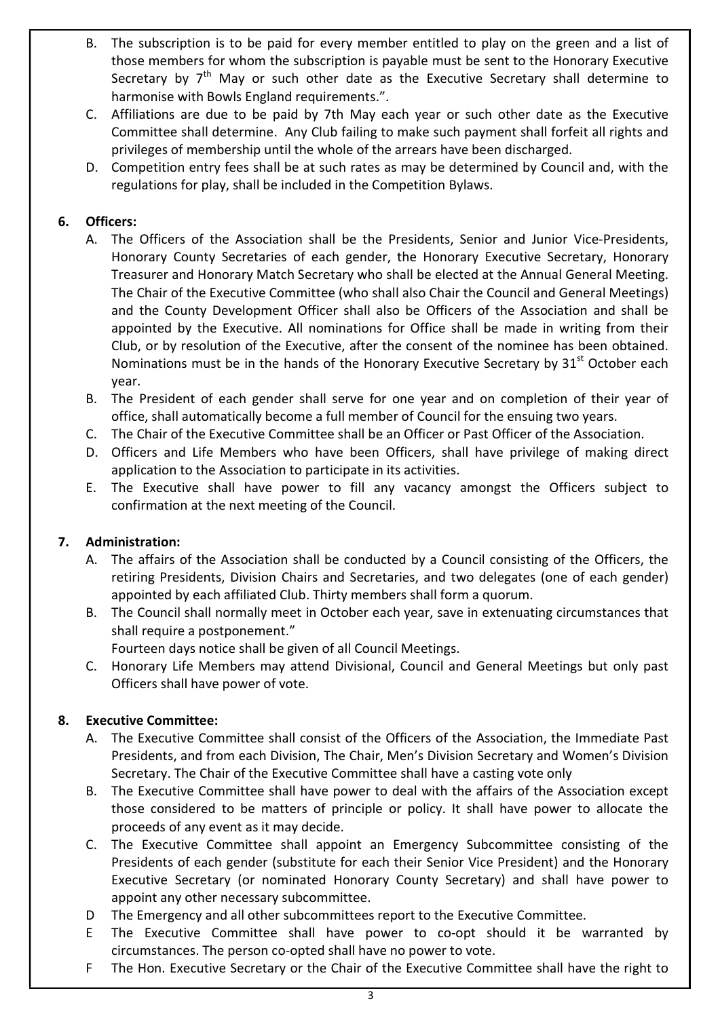- B. The subscription is to be paid for every member entitled to play on the green and a list of those members for whom the subscription is payable must be sent to the Honorary Executive Secretary by  $7<sup>th</sup>$  May or such other date as the Executive Secretary shall determine to harmonise with Bowls England requirements.".
- C. Affiliations are due to be paid by 7th May each year or such other date as the Executive Committee shall determine. Any Club failing to make such payment shall forfeit all rights and privileges of membership until the whole of the arrears have been discharged.
- D. Competition entry fees shall be at such rates as may be determined by Council and, with the regulations for play, shall be included in the Competition Bylaws.

#### 6. Officers:

- A. The Officers of the Association shall be the Presidents, Senior and Junior Vice-Presidents, Honorary County Secretaries of each gender, the Honorary Executive Secretary, Honorary Treasurer and Honorary Match Secretary who shall be elected at the Annual General Meeting. The Chair of the Executive Committee (who shall also Chair the Council and General Meetings) and the County Development Officer shall also be Officers of the Association and shall be appointed by the Executive. All nominations for Office shall be made in writing from their Club, or by resolution of the Executive, after the consent of the nominee has been obtained. Nominations must be in the hands of the Honorary Executive Secretary by  $31<sup>st</sup>$  October each year.
	- B. The President of each gender shall serve for one year and on completion of their year of office, shall automatically become a full member of Council for the ensuing two years.
	- C. The Chair of the Executive Committee shall be an Officer or Past Officer of the Association.
	- D. Officers and Life Members who have been Officers, shall have privilege of making direct application to the Association to participate in its activities.
	- E. The Executive shall have power to fill any vacancy amongst the Officers subject to confirmation at the next meeting of the Council.

#### 7. Administration:

- A. The affairs of the Association shall be conducted by a Council consisting of the Officers, the retiring Presidents, Division Chairs and Secretaries, and two delegates (one of each gender) appointed by each affiliated Club. Thirty members shall form a quorum.
	- B. The Council shall normally meet in October each year, save in extenuating circumstances that shall require a postponement."

Fourteen days notice shall be given of all Council Meetings.

C. Honorary Life Members may attend Divisional, Council and General Meetings but only past Officers shall have power of vote.

#### 8. Executive Committee:

- A. The Executive Committee shall consist of the Officers of the Association, the Immediate Past Presidents, and from each Division, The Chair, Men's Division Secretary and Women's Division Secretary. The Chair of the Executive Committee shall have a casting vote only
	- B. The Executive Committee shall have power to deal with the affairs of the Association except those considered to be matters of principle or policy. It shall have power to allocate the proceeds of any event as it may decide.
	- C. The Executive Committee shall appoint an Emergency Subcommittee consisting of the Presidents of each gender (substitute for each their Senior Vice President) and the Honorary Executive Secretary (or nominated Honorary County Secretary) and shall have power to appoint any other necessary subcommittee.
	- D The Emergency and all other subcommittees report to the Executive Committee.
	- E The Executive Committee shall have power to co-opt should it be warranted by circumstances. The person co-opted shall have no power to vote.
	- F The Hon. Executive Secretary or the Chair of the Executive Committee shall have the right to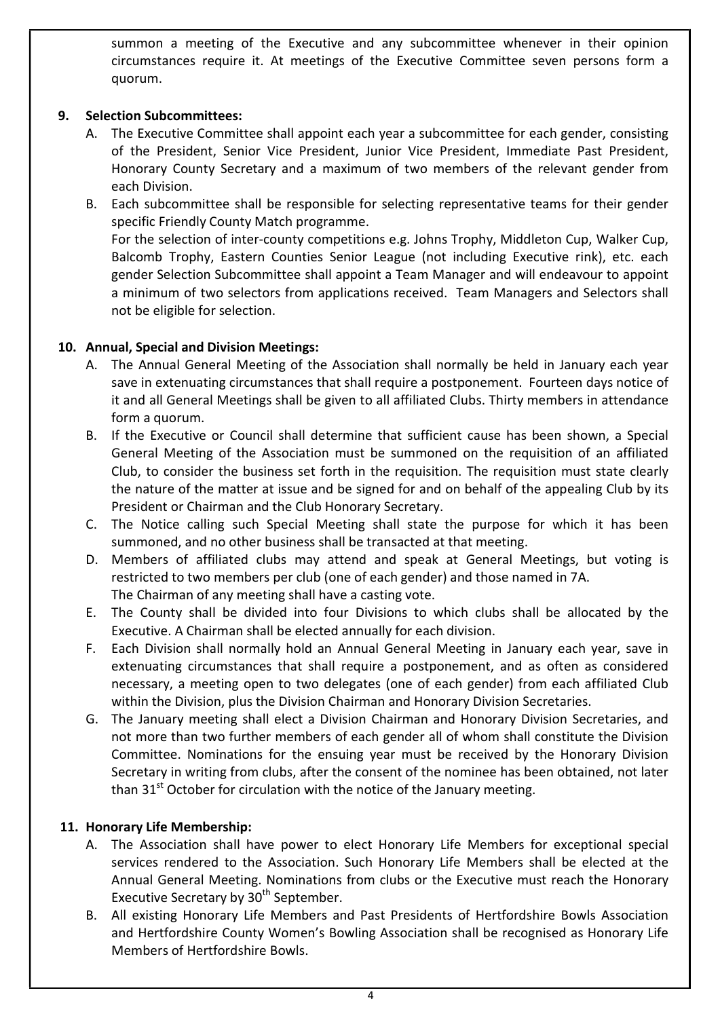summon a meeting of the Executive and any subcommittee whenever in their opinion circumstances require it. At meetings of the Executive Committee seven persons form a quorum.

#### 9. Selection Subcommittees:

 A. The Executive Committee shall appoint each year a subcommittee for each gender, consisting of the President, Senior Vice President, Junior Vice President, Immediate Past President, Honorary County Secretary and a maximum of two members of the relevant gender from each Division.

B. Each subcommittee shall be responsible for selecting representative teams for their gender specific Friendly County Match programme. For the selection of inter-county competitions e.g. Johns Trophy, Middleton Cup, Walker Cup, Balcomb Trophy, Eastern Counties Senior League (not including Executive rink), etc. each gender Selection Subcommittee shall appoint a Team Manager and will endeavour to appoint a minimum of two selectors from applications received. Team Managers and Selectors shall not be eligible for selection.

#### 10. Annual, Special and Division Meetings:

- A. The Annual General Meeting of the Association shall normally be held in January each year save in extenuating circumstances that shall require a postponement. Fourteen days notice of it and all General Meetings shall be given to all affiliated Clubs. Thirty members in attendance form a quorum.
	- B. If the Executive or Council shall determine that sufficient cause has been shown, a Special General Meeting of the Association must be summoned on the requisition of an affiliated Club, to consider the business set forth in the requisition. The requisition must state clearly the nature of the matter at issue and be signed for and on behalf of the appealing Club by its President or Chairman and the Club Honorary Secretary.
	- C. The Notice calling such Special Meeting shall state the purpose for which it has been summoned, and no other business shall be transacted at that meeting.
	- D. Members of affiliated clubs may attend and speak at General Meetings, but voting is restricted to two members per club (one of each gender) and those named in 7A. The Chairman of any meeting shall have a casting vote.
	- E. The County shall be divided into four Divisions to which clubs shall be allocated by the Executive. A Chairman shall be elected annually for each division.
	- F. Each Division shall normally hold an Annual General Meeting in January each year, save in extenuating circumstances that shall require a postponement, and as often as considered necessary, a meeting open to two delegates (one of each gender) from each affiliated Club within the Division, plus the Division Chairman and Honorary Division Secretaries.
	- G. The January meeting shall elect a Division Chairman and Honorary Division Secretaries, and not more than two further members of each gender all of whom shall constitute the Division Committee. Nominations for the ensuing year must be received by the Honorary Division Secretary in writing from clubs, after the consent of the nominee has been obtained, not later than  $31<sup>st</sup>$  October for circulation with the notice of the January meeting.

#### 11. Honorary Life Membership:

- A. The Association shall have power to elect Honorary Life Members for exceptional special services rendered to the Association. Such Honorary Life Members shall be elected at the Annual General Meeting. Nominations from clubs or the Executive must reach the Honorary Executive Secretary by 30<sup>th</sup> September.
	- B. All existing Honorary Life Members and Past Presidents of Hertfordshire Bowls Association and Hertfordshire County Women's Bowling Association shall be recognised as Honorary Life Members of Hertfordshire Bowls.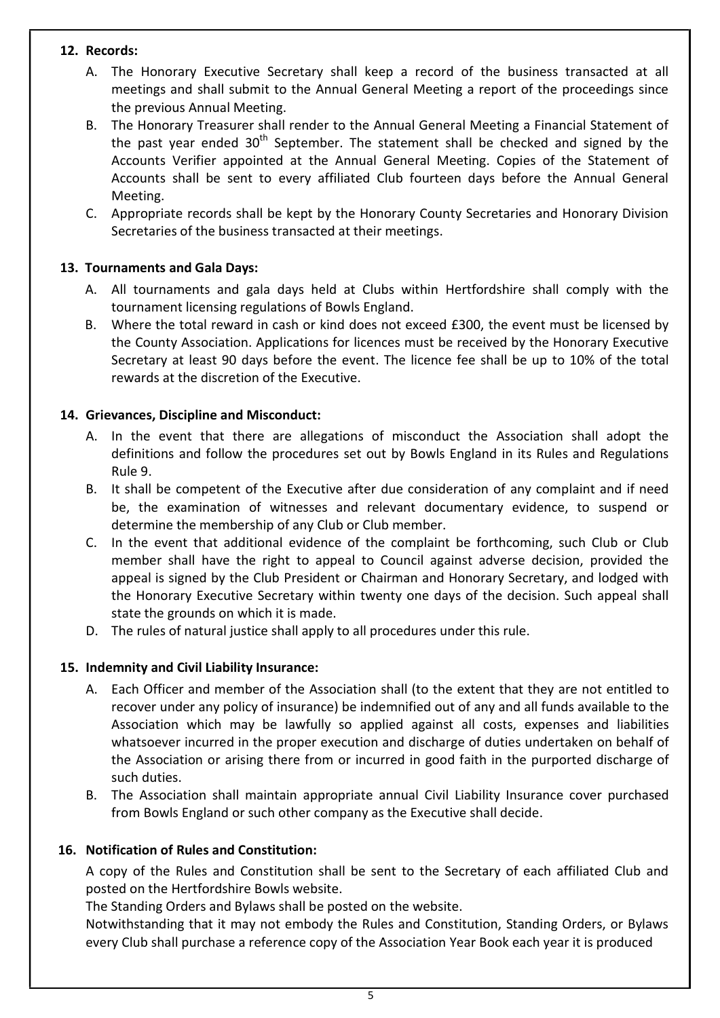#### 12. Records:

- A. The Honorary Executive Secretary shall keep a record of the business transacted at all meetings and shall submit to the Annual General Meeting a report of the proceedings since the previous Annual Meeting.
	- B. The Honorary Treasurer shall render to the Annual General Meeting a Financial Statement of the past year ended  $30<sup>th</sup>$  September. The statement shall be checked and signed by the Accounts Verifier appointed at the Annual General Meeting. Copies of the Statement of Accounts shall be sent to every affiliated Club fourteen days before the Annual General Meeting.
	- C. Appropriate records shall be kept by the Honorary County Secretaries and Honorary Division Secretaries of the business transacted at their meetings.

#### 13. Tournaments and Gala Days:

- A. All tournaments and gala days held at Clubs within Hertfordshire shall comply with the tournament licensing regulations of Bowls England.
	- B. Where the total reward in cash or kind does not exceed £300, the event must be licensed by the County Association. Applications for licences must be received by the Honorary Executive Secretary at least 90 days before the event. The licence fee shall be up to 10% of the total rewards at the discretion of the Executive.

#### 14. Grievances, Discipline and Misconduct:

- A. In the event that there are allegations of misconduct the Association shall adopt the definitions and follow the procedures set out by Bowls England in its Rules and Regulations Rule 9.
	- B. It shall be competent of the Executive after due consideration of any complaint and if need be, the examination of witnesses and relevant documentary evidence, to suspend or determine the membership of any Club or Club member.
	- C. In the event that additional evidence of the complaint be forthcoming, such Club or Club member shall have the right to appeal to Council against adverse decision, provided the appeal is signed by the Club President or Chairman and Honorary Secretary, and lodged with the Honorary Executive Secretary within twenty one days of the decision. Such appeal shall state the grounds on which it is made.
	- D. The rules of natural justice shall apply to all procedures under this rule.

#### 15. Indemnity and Civil Liability Insurance:

- A. Each Officer and member of the Association shall (to the extent that they are not entitled to recover under any policy of insurance) be indemnified out of any and all funds available to the Association which may be lawfully so applied against all costs, expenses and liabilities whatsoever incurred in the proper execution and discharge of duties undertaken on behalf of the Association or arising there from or incurred in good faith in the purported discharge of such duties.
- B. The Association shall maintain appropriate annual Civil Liability Insurance cover purchased from Bowls England or such other company as the Executive shall decide.

#### 16. Notification of Rules and Constitution:

A copy of the Rules and Constitution shall be sent to the Secretary of each affiliated Club and posted on the Hertfordshire Bowls website.

The Standing Orders and Bylaws shall be posted on the website.

Notwithstanding that it may not embody the Rules and Constitution, Standing Orders, or Bylaws every Club shall purchase a reference copy of the Association Year Book each year it is produced